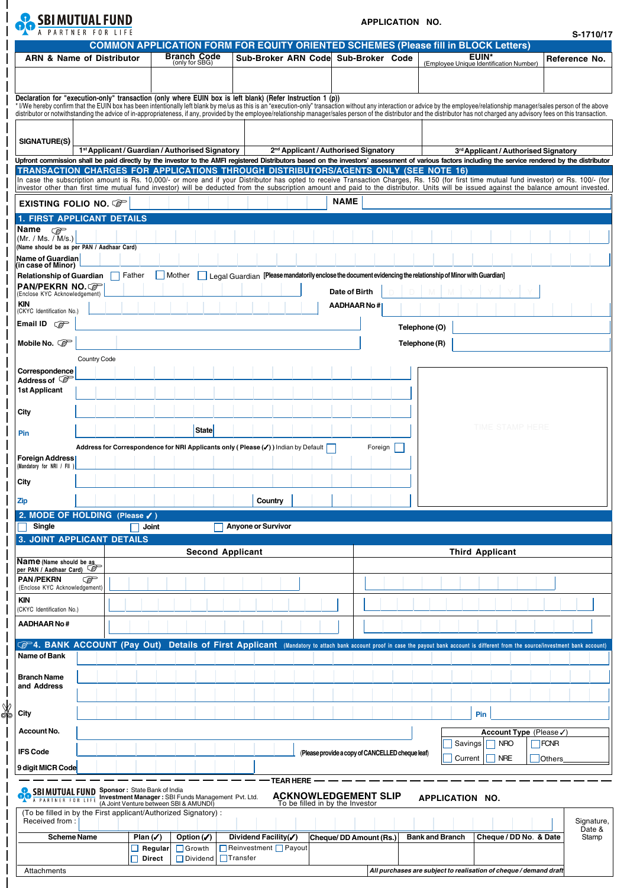

 $\overline{1}$ 

## **APPLICATION NO.**

| <b>ARN &amp; Name of Distributor</b>                                                                                                                                                                                                                                    |                                                     |                                                                                              |                                                                                                             |                                                  |                                                                                                                                                                                                                                |                               |
|-------------------------------------------------------------------------------------------------------------------------------------------------------------------------------------------------------------------------------------------------------------------------|-----------------------------------------------------|----------------------------------------------------------------------------------------------|-------------------------------------------------------------------------------------------------------------|--------------------------------------------------|--------------------------------------------------------------------------------------------------------------------------------------------------------------------------------------------------------------------------------|-------------------------------|
|                                                                                                                                                                                                                                                                         |                                                     | <b>Branch Code</b>                                                                           |                                                                                                             |                                                  | <b>COMMON APPLICATION FORM FOR EQUITY ORIENTED SCHEMES (Please fill in BLOCK Letters)</b><br><b>EUIN*</b>                                                                                                                      |                               |
|                                                                                                                                                                                                                                                                         |                                                     | (only for SBG)                                                                               | Sub-Broker ARN Code Sub-Broker Code                                                                         |                                                  | (Employee Unique Identification Number)                                                                                                                                                                                        | Reference No.                 |
|                                                                                                                                                                                                                                                                         |                                                     |                                                                                              |                                                                                                             |                                                  |                                                                                                                                                                                                                                |                               |
|                                                                                                                                                                                                                                                                         |                                                     |                                                                                              |                                                                                                             |                                                  |                                                                                                                                                                                                                                |                               |
|                                                                                                                                                                                                                                                                         |                                                     |                                                                                              | Declaration for "execution-only" transaction (only where EUIN box is left blank) (Refer Instruction 1 (p))  |                                                  | * I/We hereby confirm that the EUIN box has been intentionally left blank by me/us as this is an "execution-only" transaction without any interaction or advice by the employee/relationship manager/sales person of the above |                               |
|                                                                                                                                                                                                                                                                         |                                                     |                                                                                              |                                                                                                             |                                                  | distributor or notwithstanding the advice of in-appropriateness, if any, provided by the employee/relationship manager/sales person of the distributor and the distributor has not charged any advisory fees on this transacti |                               |
|                                                                                                                                                                                                                                                                         |                                                     |                                                                                              |                                                                                                             |                                                  |                                                                                                                                                                                                                                |                               |
| SIGNATURE(S)                                                                                                                                                                                                                                                            |                                                     |                                                                                              |                                                                                                             |                                                  |                                                                                                                                                                                                                                |                               |
|                                                                                                                                                                                                                                                                         |                                                     | 1 <sup>st</sup> Applicant / Guardian / Authorised Signatory                                  |                                                                                                             | 2 <sup>nd</sup> Applicant / Authorised Signatory | 3rd Applicant / Authorised Signatory                                                                                                                                                                                           |                               |
|                                                                                                                                                                                                                                                                         |                                                     |                                                                                              |                                                                                                             |                                                  | Upfront commission shall be paid directly by the investor to the AMFI registered Distributors based on the investors' assessment of various factors including the service rendered by the distributor                          |                               |
|                                                                                                                                                                                                                                                                         |                                                     |                                                                                              | TRANSACTION CHARGES FOR APPLICATIONS THROUGH DISTRIBUTORS/AGENTS ONLY (SEE NOTE 16)                         |                                                  | In case the subscription amount is Rs. 10,000/- or more and if your Distributor has opted to receive Transaction Charges, Rs. 150 (for first time mutual fund investor) or Rs. 100/- (for                                      |                               |
|                                                                                                                                                                                                                                                                         |                                                     |                                                                                              |                                                                                                             |                                                  | investor other than first time mutual fund investor) will be deducted from the subscription amount and paid to the distributor. Units will be issued against the balance amount invested.                                      |                               |
| EXISTING FOLIO NO. CP                                                                                                                                                                                                                                                   |                                                     |                                                                                              |                                                                                                             | <b>NAME</b>                                      |                                                                                                                                                                                                                                |                               |
|                                                                                                                                                                                                                                                                         | 1. FIRST APPLICANT DETAILS                          |                                                                                              |                                                                                                             |                                                  |                                                                                                                                                                                                                                |                               |
| Name<br>☞                                                                                                                                                                                                                                                               |                                                     |                                                                                              |                                                                                                             |                                                  |                                                                                                                                                                                                                                |                               |
| (Mr. / Ms. / M/s.)                                                                                                                                                                                                                                                      |                                                     |                                                                                              |                                                                                                             |                                                  |                                                                                                                                                                                                                                |                               |
|                                                                                                                                                                                                                                                                         | Name should be as per PAN / Aadhaar Card)           |                                                                                              |                                                                                                             |                                                  |                                                                                                                                                                                                                                |                               |
| Name of Guardian<br>(in case of Minor)                                                                                                                                                                                                                                  |                                                     |                                                                                              |                                                                                                             |                                                  |                                                                                                                                                                                                                                |                               |
| <b>Relationship of Guardian</b>                                                                                                                                                                                                                                         | Father                                              | Mother                                                                                       | Legal Guardian [Please mandatorily enclose the document evidencing the relationship of Minor with Guardian] |                                                  |                                                                                                                                                                                                                                |                               |
| PAN/PEKRN NO.೧ <del>?</del><br>(Enclose KYC Acknowledgement)                                                                                                                                                                                                            |                                                     |                                                                                              |                                                                                                             | Date of Birth                                    |                                                                                                                                                                                                                                |                               |
| <b>KIN</b>                                                                                                                                                                                                                                                              |                                                     |                                                                                              |                                                                                                             | AADHAAR No#                                      |                                                                                                                                                                                                                                |                               |
| (CKYC Identification No.)                                                                                                                                                                                                                                               |                                                     |                                                                                              |                                                                                                             |                                                  |                                                                                                                                                                                                                                |                               |
| Email ID $\mathbb{CP}$                                                                                                                                                                                                                                                  |                                                     |                                                                                              |                                                                                                             |                                                  | Telephone (O)                                                                                                                                                                                                                  |                               |
| Mobile No. Co                                                                                                                                                                                                                                                           |                                                     |                                                                                              |                                                                                                             |                                                  | Telephone (R)                                                                                                                                                                                                                  |                               |
|                                                                                                                                                                                                                                                                         |                                                     |                                                                                              |                                                                                                             |                                                  |                                                                                                                                                                                                                                |                               |
|                                                                                                                                                                                                                                                                         | Country Code                                        |                                                                                              |                                                                                                             |                                                  |                                                                                                                                                                                                                                |                               |
| Correspondence<br>Address of $\mathbb{S}^+$                                                                                                                                                                                                                             |                                                     |                                                                                              |                                                                                                             |                                                  |                                                                                                                                                                                                                                |                               |
| <b>1st Applicant</b>                                                                                                                                                                                                                                                    |                                                     |                                                                                              |                                                                                                             |                                                  |                                                                                                                                                                                                                                |                               |
|                                                                                                                                                                                                                                                                         |                                                     |                                                                                              |                                                                                                             |                                                  |                                                                                                                                                                                                                                |                               |
| City                                                                                                                                                                                                                                                                    |                                                     |                                                                                              |                                                                                                             |                                                  |                                                                                                                                                                                                                                |                               |
|                                                                                                                                                                                                                                                                         |                                                     | <b>State</b>                                                                                 |                                                                                                             |                                                  | TIME STAMP HERE                                                                                                                                                                                                                |                               |
| Pin                                                                                                                                                                                                                                                                     |                                                     |                                                                                              |                                                                                                             |                                                  |                                                                                                                                                                                                                                |                               |
|                                                                                                                                                                                                                                                                         |                                                     |                                                                                              | Address for Correspondence for NRI Applicants only (Please (/)) Indian by Default                           | Foreign                                          |                                                                                                                                                                                                                                |                               |
| Foreign Address<br>(Mandatory for NRI / FII                                                                                                                                                                                                                             |                                                     |                                                                                              |                                                                                                             |                                                  |                                                                                                                                                                                                                                |                               |
|                                                                                                                                                                                                                                                                         |                                                     |                                                                                              |                                                                                                             |                                                  |                                                                                                                                                                                                                                |                               |
| City                                                                                                                                                                                                                                                                    |                                                     |                                                                                              |                                                                                                             |                                                  |                                                                                                                                                                                                                                |                               |
| <b>Zip</b>                                                                                                                                                                                                                                                              |                                                     |                                                                                              | Country                                                                                                     |                                                  |                                                                                                                                                                                                                                |                               |
|                                                                                                                                                                                                                                                                         | 2. MODE OF HOLDING (Please √)                       |                                                                                              |                                                                                                             |                                                  |                                                                                                                                                                                                                                |                               |
| Single                                                                                                                                                                                                                                                                  |                                                     | Joint                                                                                        | <b>Anyone or Survivor</b>                                                                                   |                                                  |                                                                                                                                                                                                                                |                               |
|                                                                                                                                                                                                                                                                         | <b>3. JOINT APPLICANT DETAILS</b>                   |                                                                                              |                                                                                                             |                                                  |                                                                                                                                                                                                                                |                               |
|                                                                                                                                                                                                                                                                         |                                                     | <b>Second Applicant</b>                                                                      |                                                                                                             |                                                  | <b>Third Applicant</b>                                                                                                                                                                                                         |                               |
|                                                                                                                                                                                                                                                                         |                                                     |                                                                                              |                                                                                                             |                                                  |                                                                                                                                                                                                                                |                               |
|                                                                                                                                                                                                                                                                         |                                                     |                                                                                              |                                                                                                             |                                                  |                                                                                                                                                                                                                                |                               |
|                                                                                                                                                                                                                                                                         | డౌ                                                  |                                                                                              |                                                                                                             |                                                  |                                                                                                                                                                                                                                |                               |
|                                                                                                                                                                                                                                                                         |                                                     |                                                                                              |                                                                                                             |                                                  |                                                                                                                                                                                                                                |                               |
|                                                                                                                                                                                                                                                                         |                                                     |                                                                                              |                                                                                                             |                                                  |                                                                                                                                                                                                                                |                               |
|                                                                                                                                                                                                                                                                         |                                                     |                                                                                              |                                                                                                             |                                                  |                                                                                                                                                                                                                                |                               |
|                                                                                                                                                                                                                                                                         |                                                     |                                                                                              |                                                                                                             |                                                  |                                                                                                                                                                                                                                |                               |
|                                                                                                                                                                                                                                                                         |                                                     |                                                                                              |                                                                                                             |                                                  |                                                                                                                                                                                                                                |                               |
|                                                                                                                                                                                                                                                                         | <b>F-4. BANK ACCOUNT (Pay Out)</b>                  |                                                                                              |                                                                                                             |                                                  | Details of First Applicant (Mandatory to attach bank account proof in case the payout bank account is different from the source/investment bank account)                                                                       |                               |
|                                                                                                                                                                                                                                                                         |                                                     |                                                                                              |                                                                                                             |                                                  |                                                                                                                                                                                                                                |                               |
|                                                                                                                                                                                                                                                                         |                                                     |                                                                                              |                                                                                                             |                                                  |                                                                                                                                                                                                                                |                               |
|                                                                                                                                                                                                                                                                         |                                                     |                                                                                              |                                                                                                             |                                                  |                                                                                                                                                                                                                                |                               |
|                                                                                                                                                                                                                                                                         |                                                     |                                                                                              |                                                                                                             |                                                  |                                                                                                                                                                                                                                |                               |
|                                                                                                                                                                                                                                                                         |                                                     |                                                                                              |                                                                                                             |                                                  | Pin                                                                                                                                                                                                                            |                               |
|                                                                                                                                                                                                                                                                         |                                                     |                                                                                              |                                                                                                             |                                                  |                                                                                                                                                                                                                                |                               |
|                                                                                                                                                                                                                                                                         |                                                     |                                                                                              |                                                                                                             |                                                  | Account Type (Please√)<br><b>NRO</b>                                                                                                                                                                                           |                               |
| <b>Name</b> (Name should be as<br>per PAN / Aadhaar Card)<br><b>PAN/PEKRN</b><br>(Enclose KYC Acknowledgement)<br><b>KIN</b><br>(CKYC Identification No.)<br>AADHAAR No#<br>Name of Bank<br><b>Branch Name</b><br>and Address<br>City<br>Account No.<br><b>IFS Code</b> |                                                     |                                                                                              |                                                                                                             | (Please provide a copy of CANCELLED cheque leaf) | Savings                                                                                                                                                                                                                        | FCNR                          |
|                                                                                                                                                                                                                                                                         |                                                     |                                                                                              |                                                                                                             |                                                  | <b>NRE</b><br>Current                                                                                                                                                                                                          | <b>Others</b>                 |
|                                                                                                                                                                                                                                                                         |                                                     |                                                                                              |                                                                                                             |                                                  |                                                                                                                                                                                                                                |                               |
| 9 digit MICR Code                                                                                                                                                                                                                                                       |                                                     |                                                                                              | TEAR HERE –                                                                                                 |                                                  |                                                                                                                                                                                                                                |                               |
| A PARTNER FOR LIFE                                                                                                                                                                                                                                                      | <b>SBI MUTUAL FUND Sponsor: State Bank of India</b> | Investment Manager: SBI Funds Management Pvt. Ltd.<br>(A Joint Venture between SBI & AMUNDI) | To be filled in by the Investor                                                                             | <b>ACKNOWLEDGEMENT SLIP</b>                      | APPLICATION NO.                                                                                                                                                                                                                |                               |
|                                                                                                                                                                                                                                                                         |                                                     | (To be filled in by the First applicant/Authorized Signatory):                               |                                                                                                             |                                                  |                                                                                                                                                                                                                                |                               |
|                                                                                                                                                                                                                                                                         |                                                     |                                                                                              |                                                                                                             |                                                  |                                                                                                                                                                                                                                |                               |
| Received from:<br><b>Scheme Name</b>                                                                                                                                                                                                                                    |                                                     | Plan $(\checkmark)$<br>Option $(\checkmark)$                                                 | Dividend Facility(√)                                                                                        | Cheque/DD Amount (Rs.)                           | <b>Bank and Branch</b><br>Cheque / DD No. & Date                                                                                                                                                                               | Signature,<br>Date &<br>Stamp |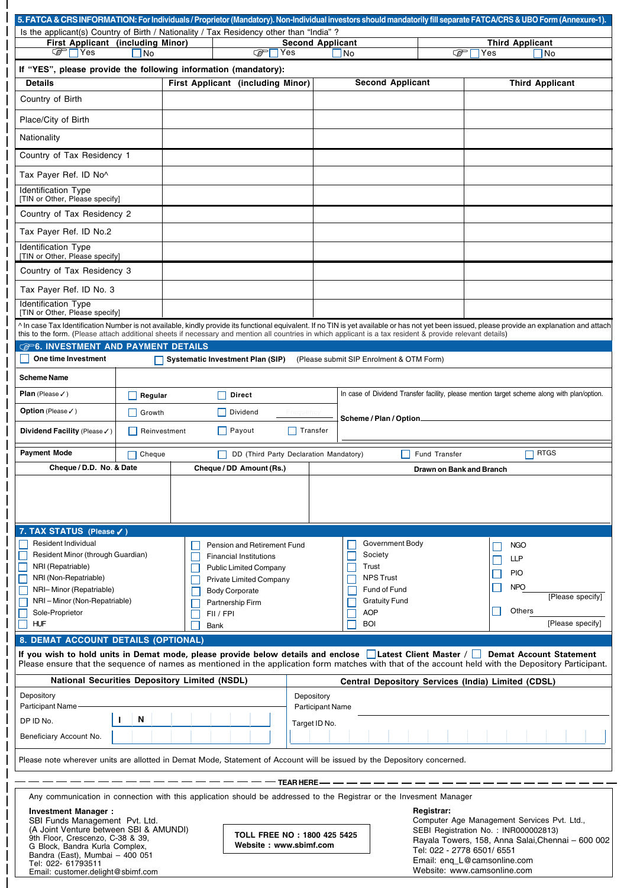| 5. FATCA & CRS INFORMATION: For Individuals / Proprietor (Mandatory). Non-Individual investors should mandatorily fill separate FATCA/CRS & UBO Form (Annexure-1). |               |      |                                                                    |                         |                                          |                          |                                                                                                                                                                                                 |  |  |
|--------------------------------------------------------------------------------------------------------------------------------------------------------------------|---------------|------|--------------------------------------------------------------------|-------------------------|------------------------------------------|--------------------------|-------------------------------------------------------------------------------------------------------------------------------------------------------------------------------------------------|--|--|
| Is the applicant(s) Country of Birth / Nationality / Tax Residency other than "India"?                                                                             |               |      |                                                                    |                         |                                          |                          |                                                                                                                                                                                                 |  |  |
| First Applicant (including Minor)<br>্টেP∏Yes                                                                                                                      | 1No           |      | ক্লো<br>Yes                                                        | <b>Second Applicant</b> | No                                       | ☞                        | <b>Third Applicant</b><br>Yes<br>1No                                                                                                                                                            |  |  |
|                                                                                                                                                                    |               |      |                                                                    |                         |                                          |                          |                                                                                                                                                                                                 |  |  |
| If "YES", please provide the following information (mandatory):<br><b>Details</b>                                                                                  |               |      | First Applicant (including Minor)                                  |                         | <b>Second Applicant</b>                  |                          | <b>Third Applicant</b>                                                                                                                                                                          |  |  |
|                                                                                                                                                                    |               |      |                                                                    |                         |                                          |                          |                                                                                                                                                                                                 |  |  |
| Country of Birth                                                                                                                                                   |               |      |                                                                    |                         |                                          |                          |                                                                                                                                                                                                 |  |  |
| Place/City of Birth                                                                                                                                                |               |      |                                                                    |                         |                                          |                          |                                                                                                                                                                                                 |  |  |
| Nationality                                                                                                                                                        |               |      |                                                                    |                         |                                          |                          |                                                                                                                                                                                                 |  |  |
|                                                                                                                                                                    |               |      |                                                                    |                         |                                          |                          |                                                                                                                                                                                                 |  |  |
| Country of Tax Residency 1                                                                                                                                         |               |      |                                                                    |                         |                                          |                          |                                                                                                                                                                                                 |  |  |
| Tax Payer Ref. ID No^                                                                                                                                              |               |      |                                                                    |                         |                                          |                          |                                                                                                                                                                                                 |  |  |
| Identification Type                                                                                                                                                |               |      |                                                                    |                         |                                          |                          |                                                                                                                                                                                                 |  |  |
| [TIN or Other, Please specify]                                                                                                                                     |               |      |                                                                    |                         |                                          |                          |                                                                                                                                                                                                 |  |  |
| Country of Tax Residency 2                                                                                                                                         |               |      |                                                                    |                         |                                          |                          |                                                                                                                                                                                                 |  |  |
| Tax Payer Ref. ID No.2                                                                                                                                             |               |      |                                                                    |                         |                                          |                          |                                                                                                                                                                                                 |  |  |
| Identification Type                                                                                                                                                |               |      |                                                                    |                         |                                          |                          |                                                                                                                                                                                                 |  |  |
| [TIN or Other, Please specify]                                                                                                                                     |               |      |                                                                    |                         |                                          |                          |                                                                                                                                                                                                 |  |  |
| Country of Tax Residency 3                                                                                                                                         |               |      |                                                                    |                         |                                          |                          |                                                                                                                                                                                                 |  |  |
| Tax Payer Ref. ID No. 3                                                                                                                                            |               |      |                                                                    |                         |                                          |                          |                                                                                                                                                                                                 |  |  |
| Identification Type                                                                                                                                                |               |      |                                                                    |                         |                                          |                          |                                                                                                                                                                                                 |  |  |
| [TIN or Other, Please specify]                                                                                                                                     |               |      |                                                                    |                         |                                          |                          |                                                                                                                                                                                                 |  |  |
| this to the form. (Please attach additional sheets if necessary and mention all countries in which applicant is a tax resident & provide relevant details)         |               |      |                                                                    |                         |                                          |                          | ^ In case Tax Identification Number is not available, kindly provide its functional equivalent. If no TIN is yet available or has not yet been issued, please provide an explanation and attach |  |  |
| <b>GP6. INVESTMENT AND PAYMENT DETAILS</b>                                                                                                                         |               |      |                                                                    |                         |                                          |                          |                                                                                                                                                                                                 |  |  |
| One time Investment                                                                                                                                                |               |      | <b>Systematic Investment Plan (SIP)</b>                            |                         | (Please submit SIP Enrolment & OTM Form) |                          |                                                                                                                                                                                                 |  |  |
|                                                                                                                                                                    |               |      |                                                                    |                         |                                          |                          |                                                                                                                                                                                                 |  |  |
| <b>Scheme Name</b>                                                                                                                                                 |               |      |                                                                    |                         |                                          |                          |                                                                                                                                                                                                 |  |  |
| <b>Plan</b> (Please $\checkmark$ )                                                                                                                                 | Regular       |      | <b>Direct</b>                                                      |                         |                                          |                          | In case of Dividend Transfer facility, please mention target scheme along with plan/option.                                                                                                     |  |  |
| <b>Option</b> (Please √)                                                                                                                                           | Growth        |      | Dividend                                                           | Frequency               |                                          |                          |                                                                                                                                                                                                 |  |  |
|                                                                                                                                                                    |               |      |                                                                    |                         | Scheme / Plan / Option_                  |                          |                                                                                                                                                                                                 |  |  |
| Reinvestment<br>Payout<br>  Transfer<br>Dividend Facility (Please √)                                                                                               |               |      |                                                                    |                         |                                          |                          |                                                                                                                                                                                                 |  |  |
|                                                                                                                                                                    |               |      |                                                                    |                         |                                          |                          |                                                                                                                                                                                                 |  |  |
| <b>Payment Mode</b>                                                                                                                                                | $\Box$ Cheque |      |                                                                    |                         |                                          | Fund Transfer            | $\Box$ RTGS                                                                                                                                                                                     |  |  |
| Cheque / D.D. No. & Date                                                                                                                                           |               |      | DD (Third Party Declaration Mandatory)<br>Cheque / DD Amount (Rs.) |                         |                                          | Drawn on Bank and Branch |                                                                                                                                                                                                 |  |  |
|                                                                                                                                                                    |               |      |                                                                    |                         |                                          |                          |                                                                                                                                                                                                 |  |  |
|                                                                                                                                                                    |               |      |                                                                    |                         |                                          |                          |                                                                                                                                                                                                 |  |  |
|                                                                                                                                                                    |               |      |                                                                    |                         |                                          |                          |                                                                                                                                                                                                 |  |  |
|                                                                                                                                                                    |               |      |                                                                    |                         |                                          |                          |                                                                                                                                                                                                 |  |  |
| 7. TAX STATUS (Please √)                                                                                                                                           |               |      |                                                                    |                         |                                          |                          |                                                                                                                                                                                                 |  |  |
| <b>Resident Individual</b>                                                                                                                                         |               |      | Pension and Retirement Fund                                        |                         | Government Body                          |                          | <b>NGO</b>                                                                                                                                                                                      |  |  |
| Resident Minor (through Guardian)<br>NRI (Repatriable)                                                                                                             |               |      | <b>Financial Institutions</b>                                      |                         | Society<br>Trust                         |                          | <b>LLP</b>                                                                                                                                                                                      |  |  |
| NRI (Non-Repatriable)                                                                                                                                              |               |      | <b>Public Limited Company</b><br><b>Private Limited Company</b>    |                         | <b>NPS Trust</b>                         |                          | <b>PIO</b>                                                                                                                                                                                      |  |  |
| NRI-Minor (Repatriable)                                                                                                                                            |               |      | <b>Body Corporate</b>                                              |                         | Fund of Fund                             |                          | <b>NPO</b>                                                                                                                                                                                      |  |  |
| NRI-Minor (Non-Repatriable)                                                                                                                                        |               |      | Partnership Firm                                                   |                         | <b>Gratuity Fund</b>                     |                          | [Please specify]                                                                                                                                                                                |  |  |
| Sole-Proprietor                                                                                                                                                    |               |      | FII / FPI                                                          |                         | <b>AOP</b>                               |                          | Others                                                                                                                                                                                          |  |  |
| <b>HUF</b>                                                                                                                                                         |               | Bank |                                                                    |                         | <b>BOI</b>                               |                          | [Please specify]                                                                                                                                                                                |  |  |
| 8. DEMAT ACCOUNT DETAILS (OPTIONAL)                                                                                                                                |               |      |                                                                    |                         |                                          |                          |                                                                                                                                                                                                 |  |  |
|                                                                                                                                                                    |               |      |                                                                    |                         |                                          |                          | If you wish to hold units in Demat mode, please provide below details and enclose Latest Client Master / Demat Account Statement                                                                |  |  |
|                                                                                                                                                                    |               |      |                                                                    |                         |                                          |                          | Please ensure that the sequence of names as mentioned in the application form matches with that of the account held with the Depository Participant.                                            |  |  |
| <b>National Securities Depository Limited (NSDL)</b>                                                                                                               |               |      |                                                                    |                         |                                          |                          | Central Depository Services (India) Limited (CDSL)                                                                                                                                              |  |  |
| Depository                                                                                                                                                         |               |      |                                                                    | Depository              |                                          |                          |                                                                                                                                                                                                 |  |  |
| <b>Participant Name</b>                                                                                                                                            |               |      |                                                                    | <b>Participant Name</b> |                                          |                          |                                                                                                                                                                                                 |  |  |
| DP ID No.                                                                                                                                                          | N             |      |                                                                    | Target ID No.           |                                          |                          |                                                                                                                                                                                                 |  |  |
| Beneficiary Account No.                                                                                                                                            |               |      |                                                                    |                         |                                          |                          |                                                                                                                                                                                                 |  |  |
|                                                                                                                                                                    |               |      |                                                                    |                         |                                          |                          |                                                                                                                                                                                                 |  |  |
| Please note wherever units are allotted in Demat Mode, Statement of Account will be issued by the Depository concerned.                                            |               |      |                                                                    |                         |                                          |                          |                                                                                                                                                                                                 |  |  |
|                                                                                                                                                                    |               |      |                                                                    | <b>TEAR HERE</b>        |                                          |                          |                                                                                                                                                                                                 |  |  |
| Any communication in connection with this application should be addressed to the Registrar or the Invesment Manager                                                |               |      |                                                                    |                         |                                          |                          |                                                                                                                                                                                                 |  |  |
| Investment Manager:                                                                                                                                                |               |      |                                                                    |                         |                                          | Registrar:               |                                                                                                                                                                                                 |  |  |
| SBI Funds Management Pvt. Ltd.                                                                                                                                     |               |      |                                                                    |                         |                                          |                          | Computer Age Management Services Pvt. Ltd.,                                                                                                                                                     |  |  |
| (A Joint Venture between SBI & AMUNDI)<br>9th Floor, Crescenzo, C-38 & 39,                                                                                         |               |      | TOLL FREE NO: 1800 425 5425                                        |                         |                                          |                          | SEBI Registration No.: INR000002813)<br>Rayala Towers, 158, Anna Salai, Chennai - 600 002                                                                                                       |  |  |
| G Block, Bandra Kurla Complex,<br>Bandra (East), Mumbai - 400 051<br>Tel: 022- 61793511                                                                            |               |      | Website: www.sbimf.com                                             |                         |                                          |                          | Tel: 022 - 2778 6501/ 6551<br>Email: eng_L@camsonline.com                                                                                                                                       |  |  |

 $\overline{1}$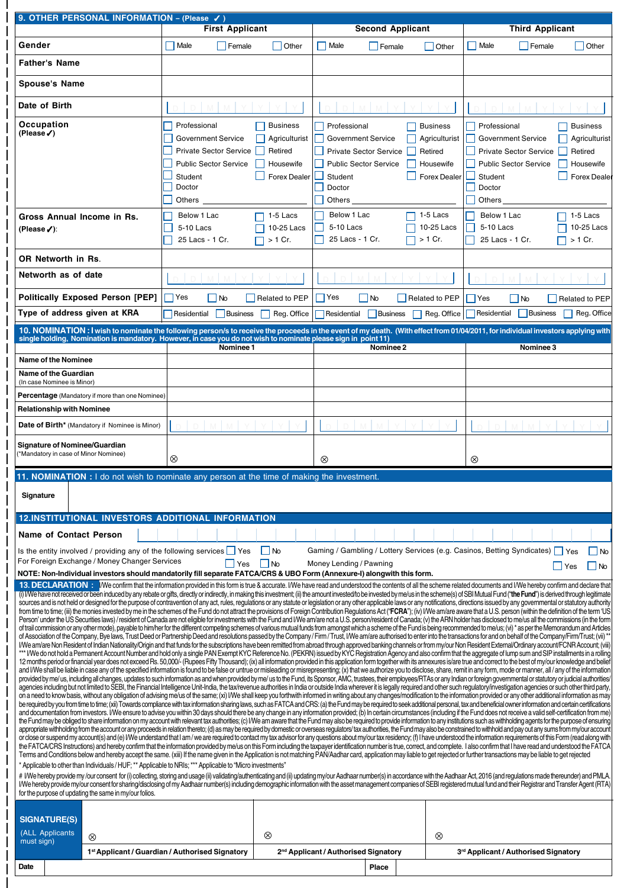| 9. OTHER PERSONAL INFORMATION - (Please /)                                                                                                                                                                                                                                                                                                                                                                                                                                                                                                                                                                                                                                                                                                                                                                                                                                                                                                                                                                                                                                                                                                                                                                                                                                                                                                                                                                                                                                                                                                                                                                                                                                                                                                                                                                                                                                                                                                                                                                                                                                                                                                                                                                                                                                                                                                                                                                                                                                                                                                                                                                                                                                                                                                                                                                                                                                                                                                                                                                                                                                                                                                                                                                                                                                                                                                                                                                                                                                                                                                                                                                                                                                                                                                                                                                                                                                                                                                                                                                                                                                                                                                                                                                                                                                                                                                                                                                                                                                                                                                                                                                                                                                                                                                                                                                                                                                                                                                                                                                                                                                                                                                                                                                                                                                                                                                                                                                                                                                                                                                                                                                                                                                                     |  | <b>First Applicant</b>                                                                                                                    |                                                                          | <b>Second Applicant</b>                                                                                                                                                          |                                                                          | <b>Third Applicant</b>                                                                                                                    |                                                                          |
|------------------------------------------------------------------------------------------------------------------------------------------------------------------------------------------------------------------------------------------------------------------------------------------------------------------------------------------------------------------------------------------------------------------------------------------------------------------------------------------------------------------------------------------------------------------------------------------------------------------------------------------------------------------------------------------------------------------------------------------------------------------------------------------------------------------------------------------------------------------------------------------------------------------------------------------------------------------------------------------------------------------------------------------------------------------------------------------------------------------------------------------------------------------------------------------------------------------------------------------------------------------------------------------------------------------------------------------------------------------------------------------------------------------------------------------------------------------------------------------------------------------------------------------------------------------------------------------------------------------------------------------------------------------------------------------------------------------------------------------------------------------------------------------------------------------------------------------------------------------------------------------------------------------------------------------------------------------------------------------------------------------------------------------------------------------------------------------------------------------------------------------------------------------------------------------------------------------------------------------------------------------------------------------------------------------------------------------------------------------------------------------------------------------------------------------------------------------------------------------------------------------------------------------------------------------------------------------------------------------------------------------------------------------------------------------------------------------------------------------------------------------------------------------------------------------------------------------------------------------------------------------------------------------------------------------------------------------------------------------------------------------------------------------------------------------------------------------------------------------------------------------------------------------------------------------------------------------------------------------------------------------------------------------------------------------------------------------------------------------------------------------------------------------------------------------------------------------------------------------------------------------------------------------------------------------------------------------------------------------------------------------------------------------------------------------------------------------------------------------------------------------------------------------------------------------------------------------------------------------------------------------------------------------------------------------------------------------------------------------------------------------------------------------------------------------------------------------------------------------------------------------------------------------------------------------------------------------------------------------------------------------------------------------------------------------------------------------------------------------------------------------------------------------------------------------------------------------------------------------------------------------------------------------------------------------------------------------------------------------------------------------------------------------------------------------------------------------------------------------------------------------------------------------------------------------------------------------------------------------------------------------------------------------------------------------------------------------------------------------------------------------------------------------------------------------------------------------------------------------------------------------------------------------------------------------------------------------------------------------------------------------------------------------------------------------------------------------------------------------------------------------------------------------------------------------------------------------------------------------------------------------------------------------------------------------------------------------------------------------------------------------------------------------------------------------------|--|-------------------------------------------------------------------------------------------------------------------------------------------|--------------------------------------------------------------------------|----------------------------------------------------------------------------------------------------------------------------------------------------------------------------------|--------------------------------------------------------------------------|-------------------------------------------------------------------------------------------------------------------------------------------|--------------------------------------------------------------------------|
| Gender                                                                                                                                                                                                                                                                                                                                                                                                                                                                                                                                                                                                                                                                                                                                                                                                                                                                                                                                                                                                                                                                                                                                                                                                                                                                                                                                                                                                                                                                                                                                                                                                                                                                                                                                                                                                                                                                                                                                                                                                                                                                                                                                                                                                                                                                                                                                                                                                                                                                                                                                                                                                                                                                                                                                                                                                                                                                                                                                                                                                                                                                                                                                                                                                                                                                                                                                                                                                                                                                                                                                                                                                                                                                                                                                                                                                                                                                                                                                                                                                                                                                                                                                                                                                                                                                                                                                                                                                                                                                                                                                                                                                                                                                                                                                                                                                                                                                                                                                                                                                                                                                                                                                                                                                                                                                                                                                                                                                                                                                                                                                                                                                                                                                                         |  | Male<br>Female                                                                                                                            | Other                                                                    | $\Box$ Male<br>Female                                                                                                                                                            | Other                                                                    | Male<br>Female                                                                                                                            | Other                                                                    |
| <b>Father's Name</b>                                                                                                                                                                                                                                                                                                                                                                                                                                                                                                                                                                                                                                                                                                                                                                                                                                                                                                                                                                                                                                                                                                                                                                                                                                                                                                                                                                                                                                                                                                                                                                                                                                                                                                                                                                                                                                                                                                                                                                                                                                                                                                                                                                                                                                                                                                                                                                                                                                                                                                                                                                                                                                                                                                                                                                                                                                                                                                                                                                                                                                                                                                                                                                                                                                                                                                                                                                                                                                                                                                                                                                                                                                                                                                                                                                                                                                                                                                                                                                                                                                                                                                                                                                                                                                                                                                                                                                                                                                                                                                                                                                                                                                                                                                                                                                                                                                                                                                                                                                                                                                                                                                                                                                                                                                                                                                                                                                                                                                                                                                                                                                                                                                                                           |  |                                                                                                                                           |                                                                          |                                                                                                                                                                                  |                                                                          |                                                                                                                                           |                                                                          |
| <b>Spouse's Name</b>                                                                                                                                                                                                                                                                                                                                                                                                                                                                                                                                                                                                                                                                                                                                                                                                                                                                                                                                                                                                                                                                                                                                                                                                                                                                                                                                                                                                                                                                                                                                                                                                                                                                                                                                                                                                                                                                                                                                                                                                                                                                                                                                                                                                                                                                                                                                                                                                                                                                                                                                                                                                                                                                                                                                                                                                                                                                                                                                                                                                                                                                                                                                                                                                                                                                                                                                                                                                                                                                                                                                                                                                                                                                                                                                                                                                                                                                                                                                                                                                                                                                                                                                                                                                                                                                                                                                                                                                                                                                                                                                                                                                                                                                                                                                                                                                                                                                                                                                                                                                                                                                                                                                                                                                                                                                                                                                                                                                                                                                                                                                                                                                                                                                           |  |                                                                                                                                           |                                                                          |                                                                                                                                                                                  |                                                                          |                                                                                                                                           |                                                                          |
| Date of Birth                                                                                                                                                                                                                                                                                                                                                                                                                                                                                                                                                                                                                                                                                                                                                                                                                                                                                                                                                                                                                                                                                                                                                                                                                                                                                                                                                                                                                                                                                                                                                                                                                                                                                                                                                                                                                                                                                                                                                                                                                                                                                                                                                                                                                                                                                                                                                                                                                                                                                                                                                                                                                                                                                                                                                                                                                                                                                                                                                                                                                                                                                                                                                                                                                                                                                                                                                                                                                                                                                                                                                                                                                                                                                                                                                                                                                                                                                                                                                                                                                                                                                                                                                                                                                                                                                                                                                                                                                                                                                                                                                                                                                                                                                                                                                                                                                                                                                                                                                                                                                                                                                                                                                                                                                                                                                                                                                                                                                                                                                                                                                                                                                                                                                  |  |                                                                                                                                           |                                                                          |                                                                                                                                                                                  |                                                                          |                                                                                                                                           |                                                                          |
|                                                                                                                                                                                                                                                                                                                                                                                                                                                                                                                                                                                                                                                                                                                                                                                                                                                                                                                                                                                                                                                                                                                                                                                                                                                                                                                                                                                                                                                                                                                                                                                                                                                                                                                                                                                                                                                                                                                                                                                                                                                                                                                                                                                                                                                                                                                                                                                                                                                                                                                                                                                                                                                                                                                                                                                                                                                                                                                                                                                                                                                                                                                                                                                                                                                                                                                                                                                                                                                                                                                                                                                                                                                                                                                                                                                                                                                                                                                                                                                                                                                                                                                                                                                                                                                                                                                                                                                                                                                                                                                                                                                                                                                                                                                                                                                                                                                                                                                                                                                                                                                                                                                                                                                                                                                                                                                                                                                                                                                                                                                                                                                                                                                                                                |  |                                                                                                                                           |                                                                          |                                                                                                                                                                                  |                                                                          |                                                                                                                                           |                                                                          |
| Occupation<br>(Please√)                                                                                                                                                                                                                                                                                                                                                                                                                                                                                                                                                                                                                                                                                                                                                                                                                                                                                                                                                                                                                                                                                                                                                                                                                                                                                                                                                                                                                                                                                                                                                                                                                                                                                                                                                                                                                                                                                                                                                                                                                                                                                                                                                                                                                                                                                                                                                                                                                                                                                                                                                                                                                                                                                                                                                                                                                                                                                                                                                                                                                                                                                                                                                                                                                                                                                                                                                                                                                                                                                                                                                                                                                                                                                                                                                                                                                                                                                                                                                                                                                                                                                                                                                                                                                                                                                                                                                                                                                                                                                                                                                                                                                                                                                                                                                                                                                                                                                                                                                                                                                                                                                                                                                                                                                                                                                                                                                                                                                                                                                                                                                                                                                                                                        |  | Professional<br><b>Government Service</b><br><b>Private Sector Service</b><br><b>Public Sector Service</b><br>Student<br>Doctor<br>Others | <b>Business</b><br>Agriculturist<br>Retired<br>Housewife<br>Forex Dealer | Professional<br><b>Government Service</b><br><b>Private Sector Service</b><br><b>Public Sector Service</b><br>Student<br>Doctor<br>Others                                        | <b>Business</b><br>Agriculturist<br>Retired<br>Housewife<br>Forex Dealer | Professional<br><b>Government Service</b><br><b>Private Sector Service</b><br><b>Public Sector Service</b><br>Student<br>Doctor<br>Others | <b>Business</b><br>Agriculturist<br>Retired<br>Housewife<br>Forex Dealer |
| Gross Annual Income in Rs.                                                                                                                                                                                                                                                                                                                                                                                                                                                                                                                                                                                                                                                                                                                                                                                                                                                                                                                                                                                                                                                                                                                                                                                                                                                                                                                                                                                                                                                                                                                                                                                                                                                                                                                                                                                                                                                                                                                                                                                                                                                                                                                                                                                                                                                                                                                                                                                                                                                                                                                                                                                                                                                                                                                                                                                                                                                                                                                                                                                                                                                                                                                                                                                                                                                                                                                                                                                                                                                                                                                                                                                                                                                                                                                                                                                                                                                                                                                                                                                                                                                                                                                                                                                                                                                                                                                                                                                                                                                                                                                                                                                                                                                                                                                                                                                                                                                                                                                                                                                                                                                                                                                                                                                                                                                                                                                                                                                                                                                                                                                                                                                                                                                                     |  | Below 1 Lac                                                                                                                               | 1-5 Lacs                                                                 | Below 1 Lac                                                                                                                                                                      | 1-5 Lacs                                                                 | Below 1 Lac                                                                                                                               | 1-5 Lacs                                                                 |
| (Please $\checkmark$ ):                                                                                                                                                                                                                                                                                                                                                                                                                                                                                                                                                                                                                                                                                                                                                                                                                                                                                                                                                                                                                                                                                                                                                                                                                                                                                                                                                                                                                                                                                                                                                                                                                                                                                                                                                                                                                                                                                                                                                                                                                                                                                                                                                                                                                                                                                                                                                                                                                                                                                                                                                                                                                                                                                                                                                                                                                                                                                                                                                                                                                                                                                                                                                                                                                                                                                                                                                                                                                                                                                                                                                                                                                                                                                                                                                                                                                                                                                                                                                                                                                                                                                                                                                                                                                                                                                                                                                                                                                                                                                                                                                                                                                                                                                                                                                                                                                                                                                                                                                                                                                                                                                                                                                                                                                                                                                                                                                                                                                                                                                                                                                                                                                                                                        |  | 5-10 Lacs<br>25 Lacs - 1 Cr.                                                                                                              | 10-25 Lacs<br>> 1 Cr.                                                    | 5-10 Lacs<br>25 Lacs - 1 Cr.                                                                                                                                                     | 10-25 Lacs<br>> 1 Cr.                                                    | 5-10 Lacs<br>25 Lacs - 1 Cr.                                                                                                              | 10-25 Lacs<br>$> 1$ Cr.                                                  |
| <b>OR Networth in Rs.</b>                                                                                                                                                                                                                                                                                                                                                                                                                                                                                                                                                                                                                                                                                                                                                                                                                                                                                                                                                                                                                                                                                                                                                                                                                                                                                                                                                                                                                                                                                                                                                                                                                                                                                                                                                                                                                                                                                                                                                                                                                                                                                                                                                                                                                                                                                                                                                                                                                                                                                                                                                                                                                                                                                                                                                                                                                                                                                                                                                                                                                                                                                                                                                                                                                                                                                                                                                                                                                                                                                                                                                                                                                                                                                                                                                                                                                                                                                                                                                                                                                                                                                                                                                                                                                                                                                                                                                                                                                                                                                                                                                                                                                                                                                                                                                                                                                                                                                                                                                                                                                                                                                                                                                                                                                                                                                                                                                                                                                                                                                                                                                                                                                                                                      |  |                                                                                                                                           |                                                                          |                                                                                                                                                                                  |                                                                          |                                                                                                                                           |                                                                          |
| Networth as of date                                                                                                                                                                                                                                                                                                                                                                                                                                                                                                                                                                                                                                                                                                                                                                                                                                                                                                                                                                                                                                                                                                                                                                                                                                                                                                                                                                                                                                                                                                                                                                                                                                                                                                                                                                                                                                                                                                                                                                                                                                                                                                                                                                                                                                                                                                                                                                                                                                                                                                                                                                                                                                                                                                                                                                                                                                                                                                                                                                                                                                                                                                                                                                                                                                                                                                                                                                                                                                                                                                                                                                                                                                                                                                                                                                                                                                                                                                                                                                                                                                                                                                                                                                                                                                                                                                                                                                                                                                                                                                                                                                                                                                                                                                                                                                                                                                                                                                                                                                                                                                                                                                                                                                                                                                                                                                                                                                                                                                                                                                                                                                                                                                                                            |  |                                                                                                                                           |                                                                          |                                                                                                                                                                                  |                                                                          |                                                                                                                                           |                                                                          |
| <b>Politically Exposed Person [PEP]</b>                                                                                                                                                                                                                                                                                                                                                                                                                                                                                                                                                                                                                                                                                                                                                                                                                                                                                                                                                                                                                                                                                                                                                                                                                                                                                                                                                                                                                                                                                                                                                                                                                                                                                                                                                                                                                                                                                                                                                                                                                                                                                                                                                                                                                                                                                                                                                                                                                                                                                                                                                                                                                                                                                                                                                                                                                                                                                                                                                                                                                                                                                                                                                                                                                                                                                                                                                                                                                                                                                                                                                                                                                                                                                                                                                                                                                                                                                                                                                                                                                                                                                                                                                                                                                                                                                                                                                                                                                                                                                                                                                                                                                                                                                                                                                                                                                                                                                                                                                                                                                                                                                                                                                                                                                                                                                                                                                                                                                                                                                                                                                                                                                                                        |  | Yes                                                                                                                                       |                                                                          | Yes                                                                                                                                                                              |                                                                          |                                                                                                                                           |                                                                          |
| Type of address given at KRA                                                                                                                                                                                                                                                                                                                                                                                                                                                                                                                                                                                                                                                                                                                                                                                                                                                                                                                                                                                                                                                                                                                                                                                                                                                                                                                                                                                                                                                                                                                                                                                                                                                                                                                                                                                                                                                                                                                                                                                                                                                                                                                                                                                                                                                                                                                                                                                                                                                                                                                                                                                                                                                                                                                                                                                                                                                                                                                                                                                                                                                                                                                                                                                                                                                                                                                                                                                                                                                                                                                                                                                                                                                                                                                                                                                                                                                                                                                                                                                                                                                                                                                                                                                                                                                                                                                                                                                                                                                                                                                                                                                                                                                                                                                                                                                                                                                                                                                                                                                                                                                                                                                                                                                                                                                                                                                                                                                                                                                                                                                                                                                                                                                                   |  | $\overline{\phantom{a}}$ No<br>Residential<br>Business                                                                                    | Related to PEP<br>Reg. Office                                            | l No<br>Residential<br>Business                                                                                                                                                  | Related to PEP<br>Reg. Office                                            | $ Y$ es<br>∣No<br>Residential<br><b>Business</b>                                                                                          | Related to PEP<br>Reg. Office                                            |
|                                                                                                                                                                                                                                                                                                                                                                                                                                                                                                                                                                                                                                                                                                                                                                                                                                                                                                                                                                                                                                                                                                                                                                                                                                                                                                                                                                                                                                                                                                                                                                                                                                                                                                                                                                                                                                                                                                                                                                                                                                                                                                                                                                                                                                                                                                                                                                                                                                                                                                                                                                                                                                                                                                                                                                                                                                                                                                                                                                                                                                                                                                                                                                                                                                                                                                                                                                                                                                                                                                                                                                                                                                                                                                                                                                                                                                                                                                                                                                                                                                                                                                                                                                                                                                                                                                                                                                                                                                                                                                                                                                                                                                                                                                                                                                                                                                                                                                                                                                                                                                                                                                                                                                                                                                                                                                                                                                                                                                                                                                                                                                                                                                                                                                |  |                                                                                                                                           |                                                                          | 10. NOMINATION: I wish to nominate the following person/s to receive the proceeds in the event of my death. (With effect from 01/04/2011, for individual investors applying with |                                                                          |                                                                                                                                           |                                                                          |
|                                                                                                                                                                                                                                                                                                                                                                                                                                                                                                                                                                                                                                                                                                                                                                                                                                                                                                                                                                                                                                                                                                                                                                                                                                                                                                                                                                                                                                                                                                                                                                                                                                                                                                                                                                                                                                                                                                                                                                                                                                                                                                                                                                                                                                                                                                                                                                                                                                                                                                                                                                                                                                                                                                                                                                                                                                                                                                                                                                                                                                                                                                                                                                                                                                                                                                                                                                                                                                                                                                                                                                                                                                                                                                                                                                                                                                                                                                                                                                                                                                                                                                                                                                                                                                                                                                                                                                                                                                                                                                                                                                                                                                                                                                                                                                                                                                                                                                                                                                                                                                                                                                                                                                                                                                                                                                                                                                                                                                                                                                                                                                                                                                                                                                |  | single holding, Nomination is mandatory. However, in case you do not wish to nominate please sign in point 11)<br>Nominee 1               |                                                                          | Nominee 2                                                                                                                                                                        |                                                                          | Nominee 3                                                                                                                                 |                                                                          |
| Name of the Nominee                                                                                                                                                                                                                                                                                                                                                                                                                                                                                                                                                                                                                                                                                                                                                                                                                                                                                                                                                                                                                                                                                                                                                                                                                                                                                                                                                                                                                                                                                                                                                                                                                                                                                                                                                                                                                                                                                                                                                                                                                                                                                                                                                                                                                                                                                                                                                                                                                                                                                                                                                                                                                                                                                                                                                                                                                                                                                                                                                                                                                                                                                                                                                                                                                                                                                                                                                                                                                                                                                                                                                                                                                                                                                                                                                                                                                                                                                                                                                                                                                                                                                                                                                                                                                                                                                                                                                                                                                                                                                                                                                                                                                                                                                                                                                                                                                                                                                                                                                                                                                                                                                                                                                                                                                                                                                                                                                                                                                                                                                                                                                                                                                                                                            |  |                                                                                                                                           |                                                                          |                                                                                                                                                                                  |                                                                          |                                                                                                                                           |                                                                          |
| <b>Name of the Guardian</b><br>(In case Nominee is Minor)                                                                                                                                                                                                                                                                                                                                                                                                                                                                                                                                                                                                                                                                                                                                                                                                                                                                                                                                                                                                                                                                                                                                                                                                                                                                                                                                                                                                                                                                                                                                                                                                                                                                                                                                                                                                                                                                                                                                                                                                                                                                                                                                                                                                                                                                                                                                                                                                                                                                                                                                                                                                                                                                                                                                                                                                                                                                                                                                                                                                                                                                                                                                                                                                                                                                                                                                                                                                                                                                                                                                                                                                                                                                                                                                                                                                                                                                                                                                                                                                                                                                                                                                                                                                                                                                                                                                                                                                                                                                                                                                                                                                                                                                                                                                                                                                                                                                                                                                                                                                                                                                                                                                                                                                                                                                                                                                                                                                                                                                                                                                                                                                                                      |  |                                                                                                                                           |                                                                          |                                                                                                                                                                                  |                                                                          |                                                                                                                                           |                                                                          |
| Percentage (Mandatory if more than one Nominee)                                                                                                                                                                                                                                                                                                                                                                                                                                                                                                                                                                                                                                                                                                                                                                                                                                                                                                                                                                                                                                                                                                                                                                                                                                                                                                                                                                                                                                                                                                                                                                                                                                                                                                                                                                                                                                                                                                                                                                                                                                                                                                                                                                                                                                                                                                                                                                                                                                                                                                                                                                                                                                                                                                                                                                                                                                                                                                                                                                                                                                                                                                                                                                                                                                                                                                                                                                                                                                                                                                                                                                                                                                                                                                                                                                                                                                                                                                                                                                                                                                                                                                                                                                                                                                                                                                                                                                                                                                                                                                                                                                                                                                                                                                                                                                                                                                                                                                                                                                                                                                                                                                                                                                                                                                                                                                                                                                                                                                                                                                                                                                                                                                                |  |                                                                                                                                           |                                                                          |                                                                                                                                                                                  |                                                                          |                                                                                                                                           |                                                                          |
| <b>Relationship with Nominee</b>                                                                                                                                                                                                                                                                                                                                                                                                                                                                                                                                                                                                                                                                                                                                                                                                                                                                                                                                                                                                                                                                                                                                                                                                                                                                                                                                                                                                                                                                                                                                                                                                                                                                                                                                                                                                                                                                                                                                                                                                                                                                                                                                                                                                                                                                                                                                                                                                                                                                                                                                                                                                                                                                                                                                                                                                                                                                                                                                                                                                                                                                                                                                                                                                                                                                                                                                                                                                                                                                                                                                                                                                                                                                                                                                                                                                                                                                                                                                                                                                                                                                                                                                                                                                                                                                                                                                                                                                                                                                                                                                                                                                                                                                                                                                                                                                                                                                                                                                                                                                                                                                                                                                                                                                                                                                                                                                                                                                                                                                                                                                                                                                                                                               |  |                                                                                                                                           |                                                                          |                                                                                                                                                                                  |                                                                          |                                                                                                                                           |                                                                          |
| <b>Date of Birth*</b> (Mandatory if Nominee is Minor)                                                                                                                                                                                                                                                                                                                                                                                                                                                                                                                                                                                                                                                                                                                                                                                                                                                                                                                                                                                                                                                                                                                                                                                                                                                                                                                                                                                                                                                                                                                                                                                                                                                                                                                                                                                                                                                                                                                                                                                                                                                                                                                                                                                                                                                                                                                                                                                                                                                                                                                                                                                                                                                                                                                                                                                                                                                                                                                                                                                                                                                                                                                                                                                                                                                                                                                                                                                                                                                                                                                                                                                                                                                                                                                                                                                                                                                                                                                                                                                                                                                                                                                                                                                                                                                                                                                                                                                                                                                                                                                                                                                                                                                                                                                                                                                                                                                                                                                                                                                                                                                                                                                                                                                                                                                                                                                                                                                                                                                                                                                                                                                                                                          |  |                                                                                                                                           |                                                                          |                                                                                                                                                                                  |                                                                          |                                                                                                                                           |                                                                          |
| Signature of Nominee/Guardian<br>(*Mandatory in case of Minor Nominee)                                                                                                                                                                                                                                                                                                                                                                                                                                                                                                                                                                                                                                                                                                                                                                                                                                                                                                                                                                                                                                                                                                                                                                                                                                                                                                                                                                                                                                                                                                                                                                                                                                                                                                                                                                                                                                                                                                                                                                                                                                                                                                                                                                                                                                                                                                                                                                                                                                                                                                                                                                                                                                                                                                                                                                                                                                                                                                                                                                                                                                                                                                                                                                                                                                                                                                                                                                                                                                                                                                                                                                                                                                                                                                                                                                                                                                                                                                                                                                                                                                                                                                                                                                                                                                                                                                                                                                                                                                                                                                                                                                                                                                                                                                                                                                                                                                                                                                                                                                                                                                                                                                                                                                                                                                                                                                                                                                                                                                                                                                                                                                                                                         |  | ⊗                                                                                                                                         |                                                                          | $^{\circledR}$                                                                                                                                                                   |                                                                          | ⊗                                                                                                                                         |                                                                          |
|                                                                                                                                                                                                                                                                                                                                                                                                                                                                                                                                                                                                                                                                                                                                                                                                                                                                                                                                                                                                                                                                                                                                                                                                                                                                                                                                                                                                                                                                                                                                                                                                                                                                                                                                                                                                                                                                                                                                                                                                                                                                                                                                                                                                                                                                                                                                                                                                                                                                                                                                                                                                                                                                                                                                                                                                                                                                                                                                                                                                                                                                                                                                                                                                                                                                                                                                                                                                                                                                                                                                                                                                                                                                                                                                                                                                                                                                                                                                                                                                                                                                                                                                                                                                                                                                                                                                                                                                                                                                                                                                                                                                                                                                                                                                                                                                                                                                                                                                                                                                                                                                                                                                                                                                                                                                                                                                                                                                                                                                                                                                                                                                                                                                                                |  | 11. NOMINATION : I do not wish to nominate any person at the time of making the investment.                                               |                                                                          |                                                                                                                                                                                  |                                                                          |                                                                                                                                           |                                                                          |
| Signature                                                                                                                                                                                                                                                                                                                                                                                                                                                                                                                                                                                                                                                                                                                                                                                                                                                                                                                                                                                                                                                                                                                                                                                                                                                                                                                                                                                                                                                                                                                                                                                                                                                                                                                                                                                                                                                                                                                                                                                                                                                                                                                                                                                                                                                                                                                                                                                                                                                                                                                                                                                                                                                                                                                                                                                                                                                                                                                                                                                                                                                                                                                                                                                                                                                                                                                                                                                                                                                                                                                                                                                                                                                                                                                                                                                                                                                                                                                                                                                                                                                                                                                                                                                                                                                                                                                                                                                                                                                                                                                                                                                                                                                                                                                                                                                                                                                                                                                                                                                                                                                                                                                                                                                                                                                                                                                                                                                                                                                                                                                                                                                                                                                                                      |  |                                                                                                                                           |                                                                          |                                                                                                                                                                                  |                                                                          |                                                                                                                                           |                                                                          |
|                                                                                                                                                                                                                                                                                                                                                                                                                                                                                                                                                                                                                                                                                                                                                                                                                                                                                                                                                                                                                                                                                                                                                                                                                                                                                                                                                                                                                                                                                                                                                                                                                                                                                                                                                                                                                                                                                                                                                                                                                                                                                                                                                                                                                                                                                                                                                                                                                                                                                                                                                                                                                                                                                                                                                                                                                                                                                                                                                                                                                                                                                                                                                                                                                                                                                                                                                                                                                                                                                                                                                                                                                                                                                                                                                                                                                                                                                                                                                                                                                                                                                                                                                                                                                                                                                                                                                                                                                                                                                                                                                                                                                                                                                                                                                                                                                                                                                                                                                                                                                                                                                                                                                                                                                                                                                                                                                                                                                                                                                                                                                                                                                                                                                                |  | <b>12.INSTITUTIONAL INVESTORS ADDITIONAL INFORMATION</b>                                                                                  |                                                                          |                                                                                                                                                                                  |                                                                          |                                                                                                                                           |                                                                          |
| Name of Contact Person                                                                                                                                                                                                                                                                                                                                                                                                                                                                                                                                                                                                                                                                                                                                                                                                                                                                                                                                                                                                                                                                                                                                                                                                                                                                                                                                                                                                                                                                                                                                                                                                                                                                                                                                                                                                                                                                                                                                                                                                                                                                                                                                                                                                                                                                                                                                                                                                                                                                                                                                                                                                                                                                                                                                                                                                                                                                                                                                                                                                                                                                                                                                                                                                                                                                                                                                                                                                                                                                                                                                                                                                                                                                                                                                                                                                                                                                                                                                                                                                                                                                                                                                                                                                                                                                                                                                                                                                                                                                                                                                                                                                                                                                                                                                                                                                                                                                                                                                                                                                                                                                                                                                                                                                                                                                                                                                                                                                                                                                                                                                                                                                                                                                         |  |                                                                                                                                           |                                                                          |                                                                                                                                                                                  |                                                                          |                                                                                                                                           |                                                                          |
| For Foreign Exchange / Money Changer Services                                                                                                                                                                                                                                                                                                                                                                                                                                                                                                                                                                                                                                                                                                                                                                                                                                                                                                                                                                                                                                                                                                                                                                                                                                                                                                                                                                                                                                                                                                                                                                                                                                                                                                                                                                                                                                                                                                                                                                                                                                                                                                                                                                                                                                                                                                                                                                                                                                                                                                                                                                                                                                                                                                                                                                                                                                                                                                                                                                                                                                                                                                                                                                                                                                                                                                                                                                                                                                                                                                                                                                                                                                                                                                                                                                                                                                                                                                                                                                                                                                                                                                                                                                                                                                                                                                                                                                                                                                                                                                                                                                                                                                                                                                                                                                                                                                                                                                                                                                                                                                                                                                                                                                                                                                                                                                                                                                                                                                                                                                                                                                                                                                                  |  | Is the entity involved / providing any of the following services $\vert \vert$ Yes<br>  Yes                                               | l INo<br>$\mathsf{I}$ $\mathsf{No}$                                      | Gaming / Gambling / Lottery Services (e.g. Casinos, Betting Syndicates)<br>Money Lending / Pawning                                                                               |                                                                          |                                                                                                                                           | $\overline{\phantom{a}}$ No<br>Yes<br>$\sqrt{1}$ No<br>Yes               |
| NOTE: Non-Individual investors should mandatorily fill separate FATCA/CRS & UBO Form (Annexure-I) alongwith this form.<br>13. DECLARATION : We confirm that the information provided in this form is true & accurate. I/We have read and understood the contents of all the scheme related documents and I/We hereby confirm and declare that<br>(i) IWe have not received or been induced by any rebate or gifts, directly or indirectly, in making this investment; (ii) the amount invested/to be invested by me/us in the scheme(s) of SBI Mutual Fund" ("the Fund") is der<br>sources and is not held or designed for the purpose of contravention of any act, rules, regulations or any statute or legislation or any other applicable laws or any notifications, directions issued by any governmental or<br>from time to time; (iii) the monies invested by me in the schemes of the Fund do not attract the provisions of Foreign Contribution Regulations Act ("FCRA"); (iv) I/We am/are aware that a U.S. person (within the definition<br>Person' under the US Securities laws) / resident of Canada are not eligible for investments with the Fund and I/We am/are not a U.S. person/resident of Canada; (v) the ARN holder has disclosed to me/us all the commissions<br>of trail commission or any other mode), payable to him/her for the different competing schemes of various mutual funds from amongst which a scheme of the Fund is being recommended to me/us; (vi) * as per the Memorandum and<br>of Association of the Company, Bye laws, Trust Deed or Partnership Deed and resolutions passed by the Company / Firm / Trust, I/We am/are authorised to enter into the transactions for and on behalf of the Company/Firm/Trus<br>(We am/are Non Resident of Indian Nationality/Origin and that funds for the subscriptions have been remitted from abroad through approved banking channels or from my/our Non Resident External/Ordinary account/FCNR Account;<br>*** I/We do not hold a Permanent Account Number and hold only a single PAN Exempt KYC Reference No. (PEKRN) issued by KYC Registration Agency and also confirm that the aggregate of lump sum and SIP installments in a rollin<br>12 months period or financial year does not exceed Rs. 50,000/- (Rupees Fifty Thousand); (ix) all information provided in this application form together with its annexures is/are true and correct to the best of my/our know<br>and I/We shall be liable in case any of the specified information is found to be false or untrue or misleading or misrepresenting; (x) that we authorize you to disclose, share, remit in any form, mode or manner, all / any<br>provided by me/us, including all changes, updates to such information as and when provided by me/us to the Fund, its Sponsor, AMC, trustees, their employees/RTAs or any Indian or foreign governmental or statutory or judici<br>agencies including but not limited to SEBI, the Financial Intelligence Unit-India, the tax/revenue authorities in India or outside India wherever it is legally required and other such regulatory/investigation agencies or s<br>on a need to know basis, without any obligation of advising me/us of the same; (xi) I/We shall keep you forthwith informed in writing about any changes/modification to the information provided or any other additional infor<br>be required by you from time to time; (xii) Towards compliance with tax information sharing laws, such as FATCA and CRS: (a) the Fund may be required to seek additional personal, tax and beneficial owner information and ce<br>and documentation from investors. I/We ensure to advise you within 30 days should there be any change in any information provided; (b) In certain circumstances (including if the Fund does not receive a valid self-certifica<br>the Fund may be obliged to share information on my account with relevant tax authorities; (c) I/We am aware that the Fund may also be required to provide information to any institutions such as withholding agents for the p<br>appropriate withholding from the account or any proceeds in relation thereto; (d) as may be required by domestic or overseas regulators/ tax authorities, the Fund may also be constrained to withhold and pay out any sums fr<br>or close or suspend my account(s) and (e) I/We understand that I am/we are required to contact my tax advisor for any questions about my/our tax residency; (f) I have understood the information requirements of this Form (r<br>the FATCA/CRS Instructions) and hereby confirm that the information provided by me/us on this Form including the taxpayer identification number is true, correct, and complete. I also confirm that I have read and understood<br>Terms and Conditions below and hereby accept the same. (xiii) If the name given in the Application is not matching PAN/Aadhar card, application may liable to get rejected or further transactions may be liable to get reject<br>* Applicable to other than Individuals / HUF; ** Applicable to NRIs; *** Applicable to "Micro investments"<br># IWe hereby provide my /our consent for (i) collecting, storing and usage (ii) validating/authenticating and (ii) updating my/our Aadhaar number(s) in accordance with the Aadhaar Act, 2016 (and regulations made thereunder<br>(Me hereby provide my/our consent for sharing/disclosing of my Aadhaar number(s) including demographic information with the asset management companies of SEBI registered mutual fund and their Registrar and Transfer Agent (<br>for the purpose of updating the same in my/our folios. |  |                                                                                                                                           |                                                                          |                                                                                                                                                                                  |                                                                          |                                                                                                                                           |                                                                          |
| <b>SIGNATURE(S)</b>                                                                                                                                                                                                                                                                                                                                                                                                                                                                                                                                                                                                                                                                                                                                                                                                                                                                                                                                                                                                                                                                                                                                                                                                                                                                                                                                                                                                                                                                                                                                                                                                                                                                                                                                                                                                                                                                                                                                                                                                                                                                                                                                                                                                                                                                                                                                                                                                                                                                                                                                                                                                                                                                                                                                                                                                                                                                                                                                                                                                                                                                                                                                                                                                                                                                                                                                                                                                                                                                                                                                                                                                                                                                                                                                                                                                                                                                                                                                                                                                                                                                                                                                                                                                                                                                                                                                                                                                                                                                                                                                                                                                                                                                                                                                                                                                                                                                                                                                                                                                                                                                                                                                                                                                                                                                                                                                                                                                                                                                                                                                                                                                                                                                            |  |                                                                                                                                           |                                                                          |                                                                                                                                                                                  |                                                                          |                                                                                                                                           |                                                                          |
| (ALL Applicants<br>$^{\circledR}$<br>must sign)                                                                                                                                                                                                                                                                                                                                                                                                                                                                                                                                                                                                                                                                                                                                                                                                                                                                                                                                                                                                                                                                                                                                                                                                                                                                                                                                                                                                                                                                                                                                                                                                                                                                                                                                                                                                                                                                                                                                                                                                                                                                                                                                                                                                                                                                                                                                                                                                                                                                                                                                                                                                                                                                                                                                                                                                                                                                                                                                                                                                                                                                                                                                                                                                                                                                                                                                                                                                                                                                                                                                                                                                                                                                                                                                                                                                                                                                                                                                                                                                                                                                                                                                                                                                                                                                                                                                                                                                                                                                                                                                                                                                                                                                                                                                                                                                                                                                                                                                                                                                                                                                                                                                                                                                                                                                                                                                                                                                                                                                                                                                                                                                                                                |  | 1 <sup>st</sup> Applicant / Guardian / Authorised Signatory                                                                               | $^{\circledR}$                                                           | 2 <sup>nd</sup> Applicant / Authorised Signatory                                                                                                                                 | $^{\circledR}$                                                           | 3rd Applicant / Authorised Signatory                                                                                                      |                                                                          |

**Date** Place **Place** Place **Place** Place **Place Place Place Place Place Place Place Place Place Place Place Place Place Place Place Place Place Place Place Place Place Place Place Place Place Place Place Place Place Place**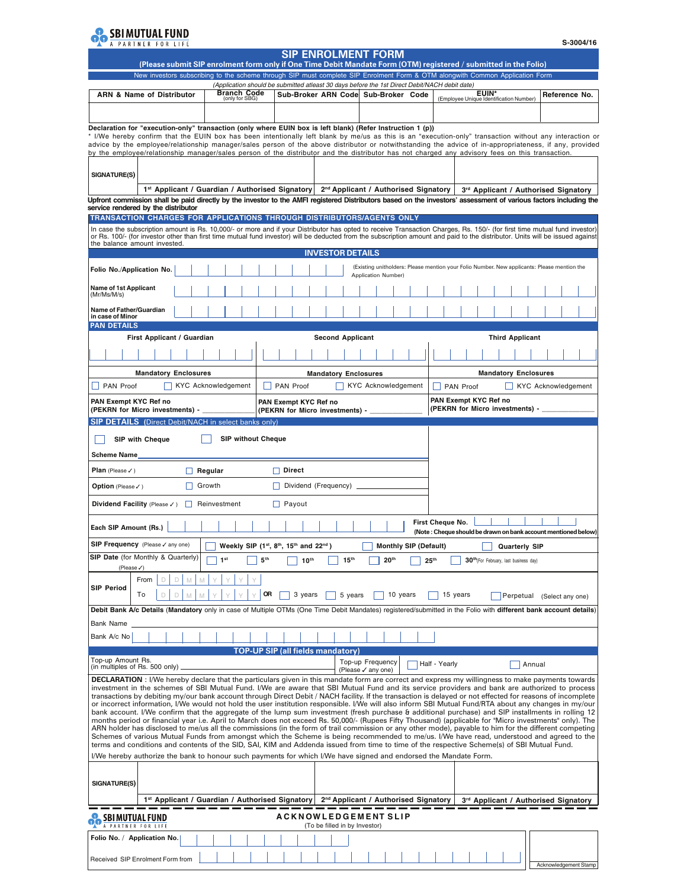

| S-3004/16 |  |  |  |  |  |  |  |
|-----------|--|--|--|--|--|--|--|
|-----------|--|--|--|--|--|--|--|

|                                                                                                                                                                                                                                                                                                                                                                                             | <b>SIP ENROLMENT FORM</b><br>(Please submit SIP enrolment form only if One Time Debit Mandate Form (OTM) registered / submitted in the Folio) |                                                             |                               |                                                                                                                                      |  |                  |                       |                                                    |                             |                                                                |
|---------------------------------------------------------------------------------------------------------------------------------------------------------------------------------------------------------------------------------------------------------------------------------------------------------------------------------------------------------------------------------------------|-----------------------------------------------------------------------------------------------------------------------------------------------|-------------------------------------------------------------|-------------------------------|--------------------------------------------------------------------------------------------------------------------------------------|--|------------------|-----------------------|----------------------------------------------------|-----------------------------|----------------------------------------------------------------|
| New investors subscribing to the scheme through SIP must complete SIP Enrolment Form & OTM alongwith Common Application Form                                                                                                                                                                                                                                                                |                                                                                                                                               |                                                             |                               |                                                                                                                                      |  |                  |                       |                                                    |                             |                                                                |
| <b>ARN &amp; Name of Distributor</b>                                                                                                                                                                                                                                                                                                                                                        | <b>Branch Code</b><br>(only for SBG)                                                                                                          |                                                             |                               | (Application should be submitted atleast 30 days before the 1st Direct Debit/NACH debit date)<br>Sub-Broker ARN Code Sub-Broker Code |  |                  |                       | EUIN*<br>(Employee Unique Identification Number)   |                             | Reference No.                                                  |
|                                                                                                                                                                                                                                                                                                                                                                                             |                                                                                                                                               |                                                             |                               |                                                                                                                                      |  |                  |                       |                                                    |                             |                                                                |
| Declaration for "execution-only" transaction (only where EUIN box is left blank) (Refer Instruction 1 (p))                                                                                                                                                                                                                                                                                  |                                                                                                                                               |                                                             |                               |                                                                                                                                      |  |                  |                       |                                                    |                             |                                                                |
| * I/We hereby confirm that the EUIN box has been intentionally left blank by me/us as this is an "execution-only" transaction without any interaction or<br>advice by the employee/relationship manager/sales person of the above distributor or notwithstanding the advice of in-appropriateness, if any, provided                                                                         |                                                                                                                                               |                                                             |                               |                                                                                                                                      |  |                  |                       |                                                    |                             |                                                                |
| by the employee/relationship manager/sales person of the distributor and the distributor has not charged any advisory fees on this transaction.                                                                                                                                                                                                                                             |                                                                                                                                               |                                                             |                               |                                                                                                                                      |  |                  |                       |                                                    |                             |                                                                |
| SIGNATURE(S)                                                                                                                                                                                                                                                                                                                                                                                |                                                                                                                                               |                                                             |                               |                                                                                                                                      |  |                  |                       |                                                    |                             |                                                                |
| 1 <sup>st</sup> Applicant / Guardian / Authorised Signatory   2 <sup>nd</sup> Applicant / Authorised Signatory                                                                                                                                                                                                                                                                              |                                                                                                                                               |                                                             |                               |                                                                                                                                      |  |                  |                       |                                                    |                             | 3rd Applicant / Authorised Signatory                           |
| Upfront commission shall be paid directly by the investor to the AMFI registered Distributors based on the investors' assessment of various factors including the<br>service rendered by the distributor                                                                                                                                                                                    |                                                                                                                                               |                                                             |                               |                                                                                                                                      |  |                  |                       |                                                    |                             |                                                                |
| TRANSACTION CHARGES FOR APPLICATIONS THROUGH DISTRIBUTORS/AGENTS ONLY                                                                                                                                                                                                                                                                                                                       |                                                                                                                                               |                                                             |                               |                                                                                                                                      |  |                  |                       |                                                    |                             |                                                                |
| In case the subscription amount is Rs. 10,000/- or more and if your Distributor has opted to receive Transaction Charges, Rs. 150/- (for first time mutual fund investor)<br>or Rs. 100/- (for investor other than first time mutual fund investor) will be deducted from the subscription amount and paid to the distributor. Units will be issued against<br>the balance amount invested. |                                                                                                                                               |                                                             |                               |                                                                                                                                      |  |                  |                       |                                                    |                             |                                                                |
| Folio No./Application No.                                                                                                                                                                                                                                                                                                                                                                   |                                                                                                                                               |                                                             | <b>INVESTOR DETAILS</b>       | (Existing unitholders: Please mention your Folio Number. New applicants: Please mention the                                          |  |                  |                       |                                                    |                             |                                                                |
| <b>Name of 1st Applicant</b>                                                                                                                                                                                                                                                                                                                                                                |                                                                                                                                               |                                                             |                               | Application Number)                                                                                                                  |  |                  |                       |                                                    |                             |                                                                |
| (Mr/Ms/M/s)<br>Name of Father/Guardian                                                                                                                                                                                                                                                                                                                                                      |                                                                                                                                               |                                                             |                               |                                                                                                                                      |  |                  |                       |                                                    |                             |                                                                |
| in case of Minor<br><b>PAN DETAILS</b>                                                                                                                                                                                                                                                                                                                                                      |                                                                                                                                               |                                                             |                               |                                                                                                                                      |  |                  |                       |                                                    |                             |                                                                |
| First Applicant / Guardian                                                                                                                                                                                                                                                                                                                                                                  |                                                                                                                                               |                                                             | <b>Second Applicant</b>       |                                                                                                                                      |  |                  |                       | <b>Third Applicant</b>                             |                             |                                                                |
|                                                                                                                                                                                                                                                                                                                                                                                             |                                                                                                                                               |                                                             |                               |                                                                                                                                      |  |                  |                       |                                                    |                             |                                                                |
|                                                                                                                                                                                                                                                                                                                                                                                             |                                                                                                                                               |                                                             |                               |                                                                                                                                      |  |                  |                       |                                                    |                             |                                                                |
| <b>Mandatory Enclosures</b><br><b>PAN Proof</b>                                                                                                                                                                                                                                                                                                                                             | <b>KYC Acknowledgement</b>                                                                                                                    | <b>PAN Proof</b>                                            | <b>Mandatory Enclosures</b>   | <b>KYC Acknowledgement</b>                                                                                                           |  | <b>PAN Proof</b> |                       |                                                    | <b>Mandatory Enclosures</b> | <b>KYC Acknowledgement</b>                                     |
| PAN Exempt KYC Ref no<br>(PEKRN for Micro investments) - _                                                                                                                                                                                                                                                                                                                                  |                                                                                                                                               | PAN Exempt KYC Ref no<br>(PEKRN for Micro investments) - __ |                               |                                                                                                                                      |  |                  | PAN Exempt KYC Ref no | (PEKRN for Micro investments) - _                  |                             |                                                                |
| <b>SIP DETAILS</b> (Direct Debit/NACH in select banks only)                                                                                                                                                                                                                                                                                                                                 |                                                                                                                                               |                                                             |                               |                                                                                                                                      |  |                  |                       |                                                    |                             |                                                                |
| <b>SIP with Cheque</b>                                                                                                                                                                                                                                                                                                                                                                      | <b>SIP without Cheque</b>                                                                                                                     |                                                             |                               |                                                                                                                                      |  |                  |                       |                                                    |                             |                                                                |
| Scheme Name                                                                                                                                                                                                                                                                                                                                                                                 |                                                                                                                                               |                                                             |                               |                                                                                                                                      |  |                  |                       |                                                    |                             |                                                                |
|                                                                                                                                                                                                                                                                                                                                                                                             |                                                                                                                                               |                                                             |                               |                                                                                                                                      |  |                  |                       |                                                    |                             |                                                                |
| <b>Plan</b> (Please $\checkmark$ )                                                                                                                                                                                                                                                                                                                                                          | $\Box$ Regular                                                                                                                                | $\Box$ Direct                                               |                               |                                                                                                                                      |  |                  |                       |                                                    |                             |                                                                |
| <b>Option</b> (Please $\checkmark$ )                                                                                                                                                                                                                                                                                                                                                        | $\Box$ Growth                                                                                                                                 |                                                             | Dividend (Frequency) $\Box$   |                                                                                                                                      |  |                  |                       |                                                    |                             |                                                                |
| Dividend Facility (Please / ) Reinvestment                                                                                                                                                                                                                                                                                                                                                  |                                                                                                                                               | $\Box$ Payout                                               |                               |                                                                                                                                      |  |                  |                       |                                                    |                             |                                                                |
| Each SIP Amount (Rs.)                                                                                                                                                                                                                                                                                                                                                                       |                                                                                                                                               |                                                             |                               |                                                                                                                                      |  | First Cheque No. |                       |                                                    |                             | (Note: Cheque should be drawn on bank account mentioned below) |
| SIP Frequency (Please / any one)                                                                                                                                                                                                                                                                                                                                                            |                                                                                                                                               | Weekly SIP (1st, 8th, 15th and 22nd)                        |                               | <b>Monthly SIP (Default)</b>                                                                                                         |  |                  |                       | <b>Quarterly SIP</b>                               |                             |                                                                |
| <b>SIP Date</b> (for Monthly & Quarterly)                                                                                                                                                                                                                                                                                                                                                   | 1 <sup>st</sup>                                                                                                                               | 5 <sup>th</sup><br>10 <sup>th</sup>                         | 15 <sup>th</sup>              | 20 <sup>th</sup>                                                                                                                     |  | 25 <sup>th</sup> |                       | 30 <sup>th</sup> (For February, last business day) |                             |                                                                |
| (Please√)<br>From<br>D<br>D<br>M                                                                                                                                                                                                                                                                                                                                                            |                                                                                                                                               |                                                             |                               |                                                                                                                                      |  |                  |                       |                                                    |                             |                                                                |
| <b>SIP Period</b><br>То<br>D<br>D<br>M                                                                                                                                                                                                                                                                                                                                                      |                                                                                                                                               | OR<br>3 years                                               | 5 years                       | 10 years                                                                                                                             |  | 15 years         |                       | Perpetual                                          |                             | (Select any one)                                               |
| Debit Bank A/c Details (Mandatory only in case of Multiple OTMs (One Time Debit Mandates) registered/submitted in the Folio with different bank account details)<br>Bank Name                                                                                                                                                                                                               |                                                                                                                                               |                                                             |                               |                                                                                                                                      |  |                  |                       |                                                    |                             |                                                                |
| Bank A/c No                                                                                                                                                                                                                                                                                                                                                                                 |                                                                                                                                               |                                                             |                               |                                                                                                                                      |  |                  |                       |                                                    |                             |                                                                |
|                                                                                                                                                                                                                                                                                                                                                                                             |                                                                                                                                               | <b>TOP-UP SIP (all fields mandatory)</b>                    |                               |                                                                                                                                      |  |                  |                       |                                                    |                             |                                                                |
| Top-up Amount Rs.<br>(in multiples of Rs. 500 only)                                                                                                                                                                                                                                                                                                                                         |                                                                                                                                               |                                                             |                               | Top-up Frequency                                                                                                                     |  | Half - Yearly    |                       |                                                    | Annual                      |                                                                |
| <b>DECLARATION</b> : I/We hereby declare that the particulars given in this mandate form are correct and express my willingness to make payments towards                                                                                                                                                                                                                                    |                                                                                                                                               |                                                             |                               | (Please √ any one)                                                                                                                   |  |                  |                       |                                                    |                             |                                                                |
| investment in the schemes of SBI Mutual Fund. I/We are aware that SBI Mutual Fund and its service providers and bank are authorized to process<br>transactions by debiting my/our bank account through Direct Debit / NACH facility. If the transaction is delayed or not effected for reasons of incomplete                                                                                |                                                                                                                                               |                                                             |                               |                                                                                                                                      |  |                  |                       |                                                    |                             |                                                                |
| or incorrect information, I/We would not hold the user institution responsible. I/We will also inform SBI Mutual Fund/RTA about any changes in my/our                                                                                                                                                                                                                                       |                                                                                                                                               |                                                             |                               |                                                                                                                                      |  |                  |                       |                                                    |                             |                                                                |
| bank account. I/We confirm that the aggregate of the lump sum investment (fresh purchase & additional purchase) and SIP installments in rolling 12<br>months period or financial year i.e. April to March does not exceed Rs. 50,000/- (Rupees Fifty Thousand) (applicable for "Micro investments" only). The                                                                               |                                                                                                                                               |                                                             |                               |                                                                                                                                      |  |                  |                       |                                                    |                             |                                                                |
| ARN holder has disclosed to me/us all the commissions (in the form of trail commission or any other mode), payable to him for the different competing<br>Schemes of various Mutual Funds from amongst which the Scheme is being recommended to me/us. I/We have read, understood and agreed to the                                                                                          |                                                                                                                                               |                                                             |                               |                                                                                                                                      |  |                  |                       |                                                    |                             |                                                                |
| terms and conditions and contents of the SID, SAI, KIM and Addenda issued from time to time of the respective Scheme(s) of SBI Mutual Fund.                                                                                                                                                                                                                                                 |                                                                                                                                               |                                                             |                               |                                                                                                                                      |  |                  |                       |                                                    |                             |                                                                |
| I/We hereby authorize the bank to honour such payments for which I/We have signed and endorsed the Mandate Form.                                                                                                                                                                                                                                                                            |                                                                                                                                               |                                                             |                               |                                                                                                                                      |  |                  |                       |                                                    |                             |                                                                |
| SIGNATURE(S)                                                                                                                                                                                                                                                                                                                                                                                |                                                                                                                                               |                                                             |                               |                                                                                                                                      |  |                  |                       |                                                    |                             |                                                                |
| 1 <sup>st</sup> Applicant / Guardian / Authorised Signatory                                                                                                                                                                                                                                                                                                                                 |                                                                                                                                               |                                                             |                               | 2 <sup>nd</sup> Applicant / Authorised Signatory                                                                                     |  |                  |                       |                                                    |                             | 3rd Applicant / Authorised Signatory                           |
| SBIMUIUALFUND<br>A PARTNER FOR LIFE                                                                                                                                                                                                                                                                                                                                                         |                                                                                                                                               |                                                             | (To be filled in by Investor) | ACKNOWLEDGEMENT SLIP                                                                                                                 |  |                  |                       |                                                    |                             |                                                                |
| Folio No. / Application No.                                                                                                                                                                                                                                                                                                                                                                 |                                                                                                                                               |                                                             |                               |                                                                                                                                      |  |                  |                       |                                                    |                             |                                                                |